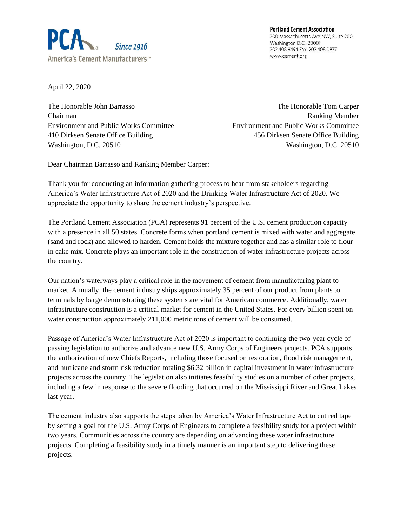

**Portland Cement Association** 200 Massachusetts Ave NW, Suite 200 Washington D.C., 20001 202.408.9494 Fax: 202.408.0877 www.cement.org

April 22, 2020

The Honorable John Barrasso The Honorable Tom Carper Chairman Ranking Member Environment and Public Works Committee Environment and Public Works Committee 410 Dirksen Senate Office Building 456 Dirksen Senate Office Building Washington, D.C. 20510 Washington, D.C. 20510

Dear Chairman Barrasso and Ranking Member Carper:

Thank you for conducting an information gathering process to hear from stakeholders regarding America's Water Infrastructure Act of 2020 and the Drinking Water Infrastructure Act of 2020. We appreciate the opportunity to share the cement industry's perspective.

The Portland Cement Association (PCA) represents 91 percent of the U.S. cement production capacity with a presence in all 50 states. Concrete forms when portland cement is mixed with water and aggregate (sand and rock) and allowed to harden. Cement holds the mixture together and has a similar role to flour in cake mix. Concrete plays an important role in the construction of water infrastructure projects across the country.

Our nation's waterways play a critical role in the movement of cement from manufacturing plant to market. Annually, the cement industry ships approximately 35 percent of our product from plants to terminals by barge demonstrating these systems are vital for American commerce. Additionally, water infrastructure construction is a critical market for cement in the United States. For every billion spent on water construction approximately 211,000 metric tons of cement will be consumed.

Passage of America's Water Infrastructure Act of 2020 is important to continuing the two-year cycle of passing legislation to authorize and advance new U.S. Army Corps of Engineers projects. PCA supports the authorization of new Chiefs Reports, including those focused on restoration, flood risk management, and hurricane and storm risk reduction totaling \$6.32 billion in capital investment in water infrastructure projects across the country. The legislation also initiates feasibility studies on a number of other projects, including a few in response to the severe flooding that occurred on the Mississippi River and Great Lakes last year.

The cement industry also supports the steps taken by America's Water Infrastructure Act to cut red tape by setting a goal for the U.S. Army Corps of Engineers to complete a feasibility study for a project within two years. Communities across the country are depending on advancing these water infrastructure projects. Completing a feasibility study in a timely manner is an important step to delivering these projects.